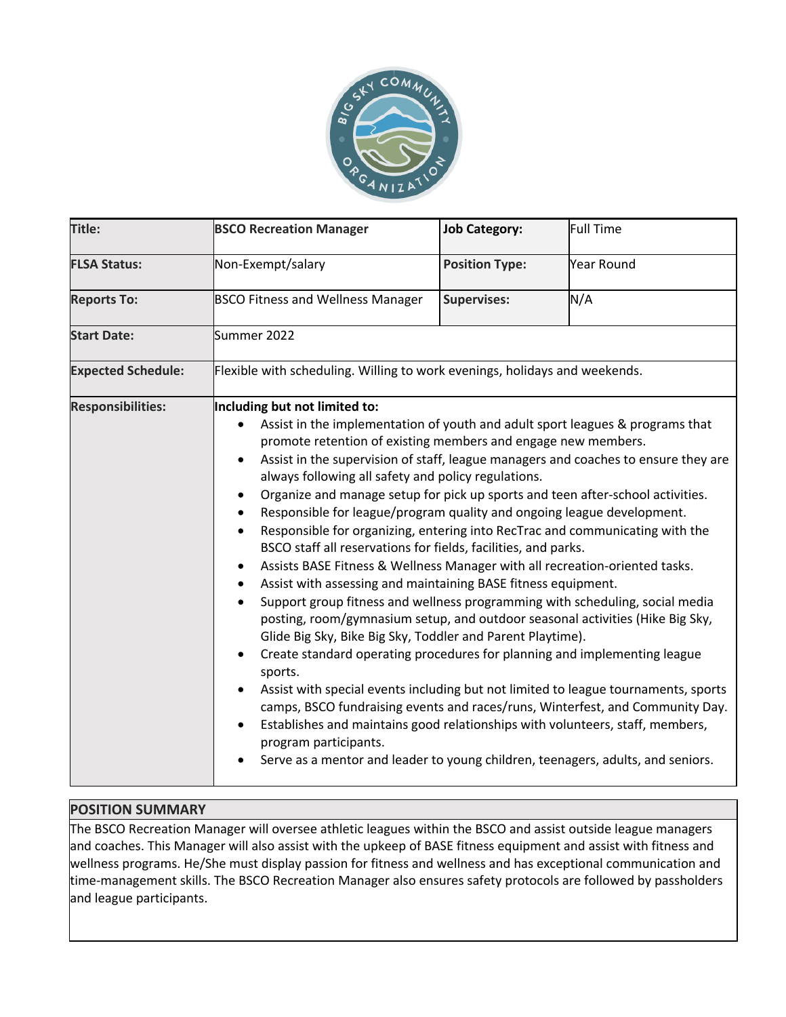

| Title:                    | <b>BSCO Recreation Manager</b>                                                                                                                                                                                                                                                                                                                                                                                                                                                                                                                                                                                                                                                                                                                                                                                                                                                                                                                                                                                                                                                                                                                                                                                                                                                                                                                                                                                                                                                                                                                 | <b>Job Category:</b>  | <b>Full Time</b> |
|---------------------------|------------------------------------------------------------------------------------------------------------------------------------------------------------------------------------------------------------------------------------------------------------------------------------------------------------------------------------------------------------------------------------------------------------------------------------------------------------------------------------------------------------------------------------------------------------------------------------------------------------------------------------------------------------------------------------------------------------------------------------------------------------------------------------------------------------------------------------------------------------------------------------------------------------------------------------------------------------------------------------------------------------------------------------------------------------------------------------------------------------------------------------------------------------------------------------------------------------------------------------------------------------------------------------------------------------------------------------------------------------------------------------------------------------------------------------------------------------------------------------------------------------------------------------------------|-----------------------|------------------|
| <b>FLSA Status:</b>       | Non-Exempt/salary                                                                                                                                                                                                                                                                                                                                                                                                                                                                                                                                                                                                                                                                                                                                                                                                                                                                                                                                                                                                                                                                                                                                                                                                                                                                                                                                                                                                                                                                                                                              | <b>Position Type:</b> | Year Round       |
| <b>Reports To:</b>        | <b>BSCO Fitness and Wellness Manager</b>                                                                                                                                                                                                                                                                                                                                                                                                                                                                                                                                                                                                                                                                                                                                                                                                                                                                                                                                                                                                                                                                                                                                                                                                                                                                                                                                                                                                                                                                                                       | <b>Supervises:</b>    | N/A              |
| <b>Start Date:</b>        | Summer 2022                                                                                                                                                                                                                                                                                                                                                                                                                                                                                                                                                                                                                                                                                                                                                                                                                                                                                                                                                                                                                                                                                                                                                                                                                                                                                                                                                                                                                                                                                                                                    |                       |                  |
| <b>Expected Schedule:</b> | Flexible with scheduling. Willing to work evenings, holidays and weekends.                                                                                                                                                                                                                                                                                                                                                                                                                                                                                                                                                                                                                                                                                                                                                                                                                                                                                                                                                                                                                                                                                                                                                                                                                                                                                                                                                                                                                                                                     |                       |                  |
| <b>Responsibilities:</b>  | Including but not limited to:<br>Assist in the implementation of youth and adult sport leagues & programs that<br>promote retention of existing members and engage new members.<br>Assist in the supervision of staff, league managers and coaches to ensure they are<br>$\bullet$<br>always following all safety and policy regulations.<br>Organize and manage setup for pick up sports and teen after-school activities.<br>Responsible for league/program quality and ongoing league development.<br>$\bullet$<br>Responsible for organizing, entering into RecTrac and communicating with the<br>$\bullet$<br>BSCO staff all reservations for fields, facilities, and parks.<br>Assists BASE Fitness & Wellness Manager with all recreation-oriented tasks.<br>Assist with assessing and maintaining BASE fitness equipment.<br>٠<br>Support group fitness and wellness programming with scheduling, social media<br>posting, room/gymnasium setup, and outdoor seasonal activities (Hike Big Sky,<br>Glide Big Sky, Bike Big Sky, Toddler and Parent Playtime).<br>Create standard operating procedures for planning and implementing league<br>sports.<br>Assist with special events including but not limited to league tournaments, sports<br>$\bullet$<br>camps, BSCO fundraising events and races/runs, Winterfest, and Community Day.<br>Establishes and maintains good relationships with volunteers, staff, members,<br>program participants.<br>Serve as a mentor and leader to young children, teenagers, adults, and seniors. |                       |                  |

## **POSITION SUMMARY**

The BSCO Recreation Manager will oversee athletic leagues within the BSCO and assist outside league managers and coaches. This Manager will also assist with the upkeep of BASE fitness equipment and assist with fitness and wellness programs. He/She must display passion for fitness and wellness and has exceptional communication and time-management skills. The BSCO Recreation Manager also ensures safety protocols are followed by passholders and league participants.